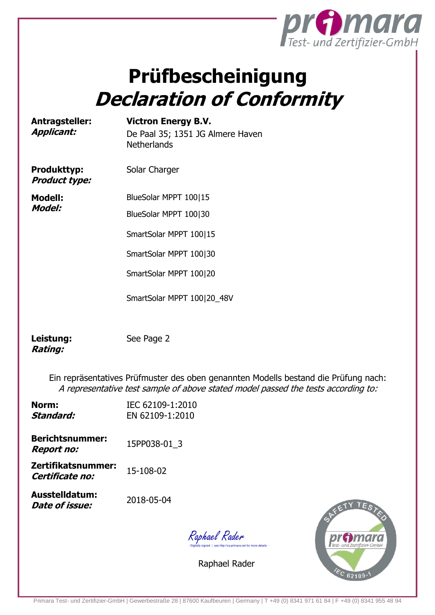

## **Prüfbescheinigung Declaration of Conformity**

**Antragsteller: Applicant:**

**Victron Energy B.V.** De Paal 35; 1351 JG Almere Haven **Netherlands** 

**Produkttyp: Product type:** Solar Charger

**Modell: Model:**

BlueSolar MPPT 100|15 BlueSolar MPPT 100|30

SmartSolar MPPT 100|15

SmartSolar MPPT 100|30

SmartSolar MPPT 100|20

SmartSolar MPPT 100|20\_48V

**Leistung: Rating:**

See Page 2

Ein repräsentatives Prüfmuster des oben genannten Modells bestand die Prüfung nach: A representative test sample of above stated model passed the tests according to:

| Norm:<br>Standard:                          | IEC 62109-1:2010<br>EN 62109-1:2010 |
|---------------------------------------------|-------------------------------------|
| <b>Berichtsnummer:</b><br><b>Report no:</b> | 15PP038-01 3                        |
| Zertifikatsnummer:<br>Certificate no:       | 15-108-02                           |
| Ausstelldatum:<br>Date of issue:            | 2018-05-04                          |
|                                             |                                     |



Raphael Rader